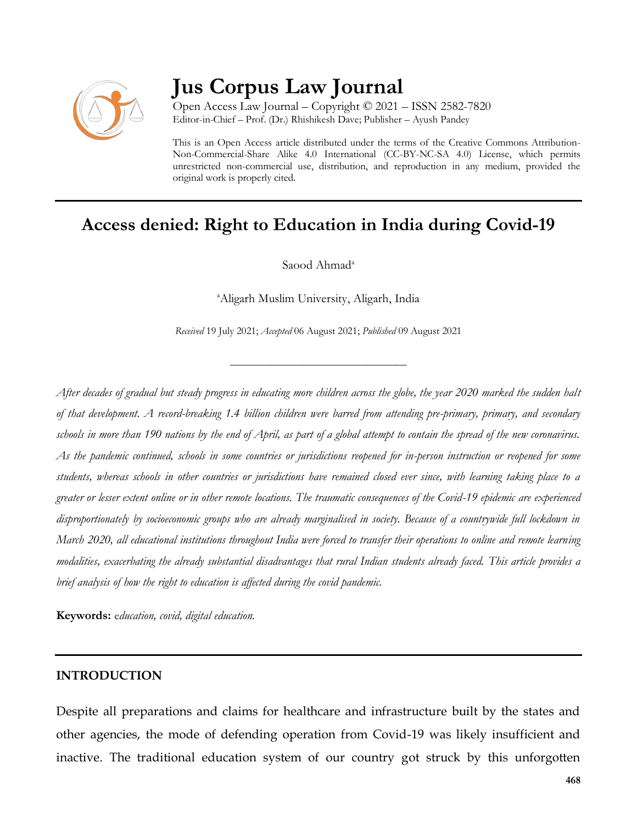

# **Jus Corpus Law Journal**

Open Access Law Journal – Copyright © 2021 – ISSN 2582-7820 Editor-in-Chief – Prof. (Dr.) Rhishikesh Dave; Publisher – Ayush Pandey

This is an Open Access article distributed under the terms of the Creative Commons Attribution-Non-Commercial-Share Alike 4.0 International (CC-BY-NC-SA 4.0) License, which permits unrestricted non-commercial use, distribution, and reproduction in any medium, provided the original work is properly cited.

# **Access denied: Right to Education in India during Covid-19**

Saood Ahmad<sup>a</sup>

<sup>a</sup>Aligarh Muslim University, Aligarh, India

*Received* 19 July 2021; *Accepted* 06 August 2021; *Published* 09 August 2021

\_\_\_\_\_\_\_\_\_\_\_\_\_\_\_\_\_\_\_\_\_\_\_\_\_\_\_\_\_\_\_\_\_\_

*After decades of gradual but steady progress in educating more children across the globe, the year 2020 marked the sudden halt of that development. A record-breaking 1.4 billion children were barred from attending pre-primary, primary, and secondary schools in more than 190 nations by the end of April, as part of a global attempt to contain the spread of the new coronavirus. As the pandemic continued, schools in some countries or jurisdictions reopened for in-person instruction or reopened for some students, whereas schools in other countries or jurisdictions have remained closed ever since, with learning taking place to a greater or lesser extent online or in other remote locations. The traumatic consequences of the Covid-19 epidemic are experienced disproportionately by socioeconomic groups who are already marginalised in society. Because of a countrywide full lockdown in March 2020, all educational institutions throughout India were forced to transfer their operations to online and remote learning modalities, exacerbating the already substantial disadvantages that rural Indian students already faced. This article provides a brief analysis of how the right to education is affected during the covid pandemic.*

**Keywords:** e*ducation, covid, digital education.*

#### **INTRODUCTION**

Despite all preparations and claims for healthcare and infrastructure built by the states and other agencies, the mode of defending operation from Covid-19 was likely insufficient and inactive. The traditional education system of our country got struck by this unforgotten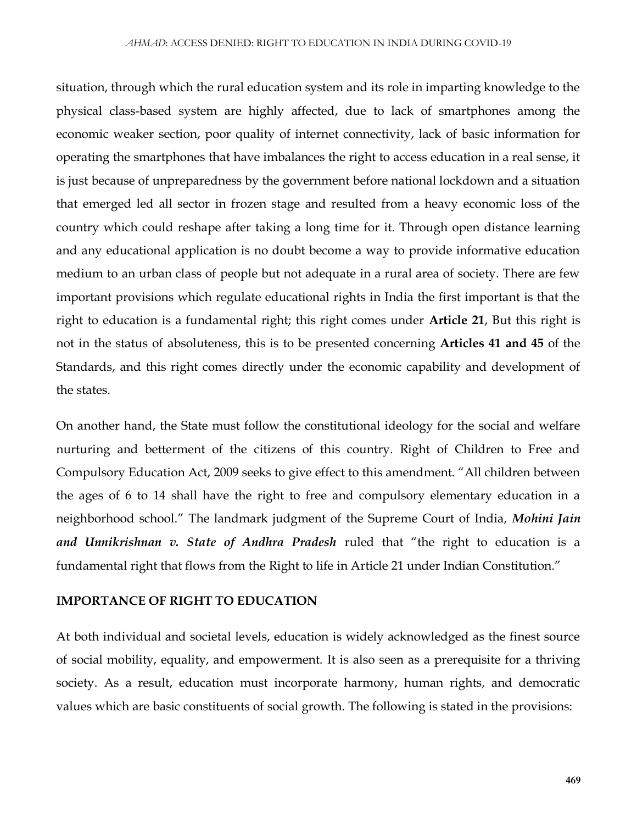situation, through which the rural education system and its role in imparting knowledge to the physical class-based system are highly affected, due to lack of smartphones among the economic weaker section, poor quality of internet connectivity, lack of basic information for operating the smartphones that have imbalances the right to access education in a real sense, it is just because of unpreparedness by the government before national lockdown and a situation that emerged led all sector in frozen stage and resulted from a heavy economic loss of the country which could reshape after taking a long time for it. Through open distance learning and any educational application is no doubt become a way to provide informative education medium to an urban class of people but not adequate in a rural area of society. There are few important provisions which regulate educational rights in India the first important is that the right to education is a fundamental right; this right comes under **Article 21**, But this right is not in the status of absoluteness, this is to be presented concerning **Articles 41 and 45** of the Standards, and this right comes directly under the economic capability and development of the states.

On another hand, the State must follow the constitutional ideology for the social and welfare nurturing and betterment of the citizens of this country. Right of Children to Free and Compulsory Education Act, 2009 seeks to give effect to this amendment. "All children between the ages of 6 to 14 shall have the right to free and compulsory elementary education in a neighborhood school." The landmark judgment of the Supreme Court of India, *Mohini Jain and Unnikrishnan v. State of Andhra Pradesh* ruled that "the right to education is a fundamental right that flows from the Right to life in Article 21 under Indian Constitution."

#### **IMPORTANCE OF RIGHT TO EDUCATION**

At both individual and societal levels, education is widely acknowledged as the finest source of social mobility, equality, and empowerment. It is also seen as a prerequisite for a thriving society. As a result, education must incorporate harmony, human rights, and democratic values which are basic constituents of social growth. The following is stated in the provisions: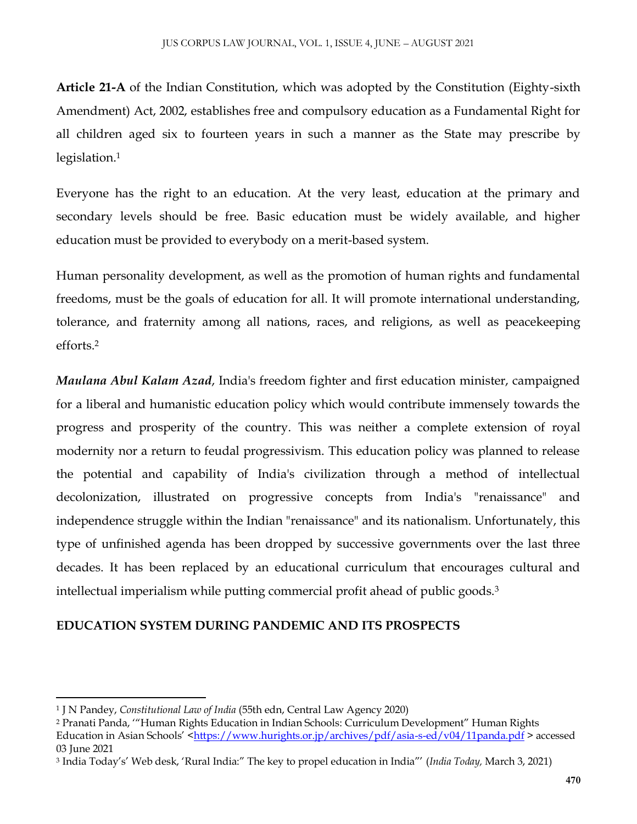**Article 21-A** of the Indian Constitution, which was adopted by the Constitution (Eighty-sixth Amendment) Act, 2002, establishes free and compulsory education as a Fundamental Right for all children aged six to fourteen years in such a manner as the State may prescribe by legislation.<sup>1</sup>

Everyone has the right to an education. At the very least, education at the primary and secondary levels should be free. Basic education must be widely available, and higher education must be provided to everybody on a merit-based system.

Human personality development, as well as the promotion of human rights and fundamental freedoms, must be the goals of education for all. It will promote international understanding, tolerance, and fraternity among all nations, races, and religions, as well as peacekeeping efforts.<sup>2</sup>

*Maulana Abul Kalam Azad*, India's freedom fighter and first education minister, campaigned for a liberal and humanistic education policy which would contribute immensely towards the progress and prosperity of the country. This was neither a complete extension of royal modernity nor a return to feudal progressivism. This education policy was planned to release the potential and capability of India's civilization through a method of intellectual decolonization, illustrated on progressive concepts from India's "renaissance" and independence struggle within the Indian "renaissance" and its nationalism. Unfortunately, this type of unfinished agenda has been dropped by successive governments over the last three decades. It has been replaced by an educational curriculum that encourages cultural and intellectual imperialism while putting commercial profit ahead of public goods.<sup>3</sup>

# **EDUCATION SYSTEM DURING PANDEMIC AND ITS PROSPECTS**

 $\overline{a}$ 

<sup>1</sup> J N Pandey, *Constitutional Law of India* (55th edn, Central Law Agency 2020)

<sup>2</sup> Pranati Panda, '"Human Rights Education in Indian Schools: Curriculum Development" Human Rights Education in Asian Schools' <<https://www.hurights.or.jp/archives/pdf/asia-s-ed/v04/11panda.pdf> > accessed 03 June 2021

<sup>3</sup> India Today's' Web desk, 'Rural India:" The key to propel education in India"' (*India Today,* March 3, 2021)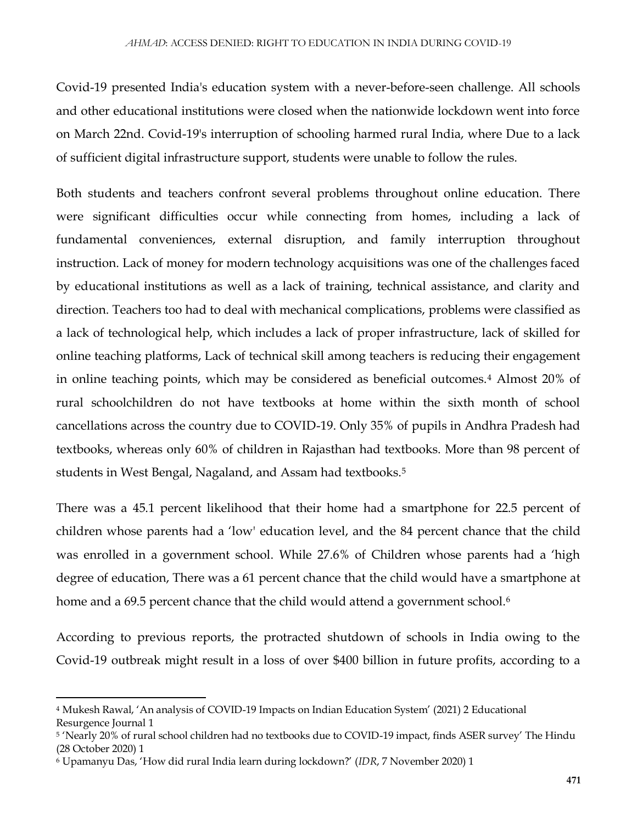Covid-19 presented India's education system with a never-before-seen challenge. All schools and other educational institutions were closed when the nationwide lockdown went into force on March 22nd. Covid-19's interruption of schooling harmed rural India, where Due to a lack of sufficient digital infrastructure support, students were unable to follow the rules.

Both students and teachers confront several problems throughout online education. There were significant difficulties occur while connecting from homes, including a lack of fundamental conveniences, external disruption, and family interruption throughout instruction. Lack of money for modern technology acquisitions was one of the challenges faced by educational institutions as well as a lack of training, technical assistance, and clarity and direction. Teachers too had to deal with mechanical complications, problems were classified as a lack of technological help, which includes a lack of proper infrastructure, lack of skilled for online teaching platforms, Lack of technical skill among teachers is reducing their engagement in online teaching points, which may be considered as beneficial outcomes.<sup>4</sup> Almost 20% of rural schoolchildren do not have textbooks at home within the sixth month of school cancellations across the country due to COVID-19. Only 35% of pupils in Andhra Pradesh had textbooks, whereas only 60% of children in Rajasthan had textbooks. More than 98 percent of students in West Bengal, Nagaland, and Assam had textbooks.<sup>5</sup>

There was a 45.1 percent likelihood that their home had a smartphone for 22.5 percent of children whose parents had a 'low' education level, and the 84 percent chance that the child was enrolled in a government school. While 27.6% of Children whose parents had a 'high degree of education, There was a 61 percent chance that the child would have a smartphone at home and a 69.5 percent chance that the child would attend a government school.<sup>6</sup>

According to previous reports, the protracted shutdown of schools in India owing to the Covid-19 outbreak might result in a loss of over \$400 billion in future profits, according to a

 $\overline{a}$ 

<sup>4</sup> Mukesh Rawal, 'An analysis of COVID-19 Impacts on Indian Education System' (2021) 2 Educational Resurgence Journal 1

<sup>5</sup> 'Nearly 20% of rural school children had no textbooks due to COVID-19 impact, finds ASER survey' The Hindu (28 October 2020) 1

<sup>6</sup> Upamanyu Das, 'How did rural India learn during lockdown?' (*IDR*, 7 November 2020) 1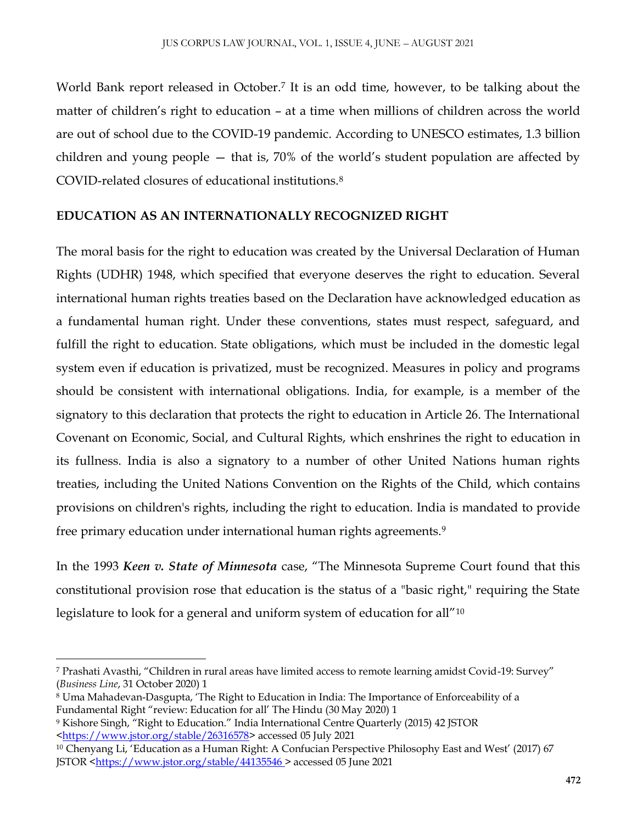World Bank report released in October.<sup>7</sup> It is an odd time, however, to be talking about the matter of children's right to education – at a time when millions of children across the world are out of school due to the COVID-19 pandemic. According to UNESCO estimates, 1.3 billion children and young people — that is, 70% of the world's student population are affected by COVID-related closures of educational institutions.<sup>8</sup>

# **EDUCATION AS AN INTERNATIONALLY RECOGNIZED RIGHT**

The moral basis for the right to education was created by the Universal Declaration of Human Rights (UDHR) 1948, which specified that everyone deserves the right to education. Several international human rights treaties based on the Declaration have acknowledged education as a fundamental human right. Under these conventions, states must respect, safeguard, and fulfill the right to education. State obligations, which must be included in the domestic legal system even if education is privatized, must be recognized. Measures in policy and programs should be consistent with international obligations. India, for example, is a member of the signatory to this declaration that protects the right to education in Article 26. The International Covenant on Economic, Social, and Cultural Rights, which enshrines the right to education in its fullness. India is also a signatory to a number of other United Nations human rights treaties, including the United Nations Convention on the Rights of the Child, which contains provisions on children's rights, including the right to education. India is mandated to provide free primary education under international human rights agreements.<sup>9</sup>

In the 1993 *Keen v. State of Minnesota* case, "The Minnesota Supreme Court found that this constitutional provision rose that education is the status of a "basic right," requiring the State legislature to look for a general and uniform system of education for all"<sup>10</sup>

 $\overline{a}$ <sup>7</sup> Prashati Avasthi, "Children in rural areas have limited access to remote learning amidst Covid-19: Survey" (*Business Line*, 31 October 2020) 1

<sup>8</sup> Uma Mahadevan-Dasgupta, 'The Right to Education in India: The Importance of Enforceability of a Fundamental Right "review: Education for all' The Hindu (30 May 2020) 1

<sup>9</sup> Kishore Singh, "Right to Education." India International Centre Quarterly (2015) 42 JSTOR [<https://www.jstor.org/stable/26316578>](https://www.jstor.org/stable/26316578) accessed 05 July 2021

<sup>10</sup> Chenyang Li, 'Education as a Human Right: A Confucian Perspective Philosophy East and West' (2017) 67 JSTOR [<https://www.jstor.org/stable/44135546 >](https://www.jstor.org/stable/44135546) accessed 05 June 2021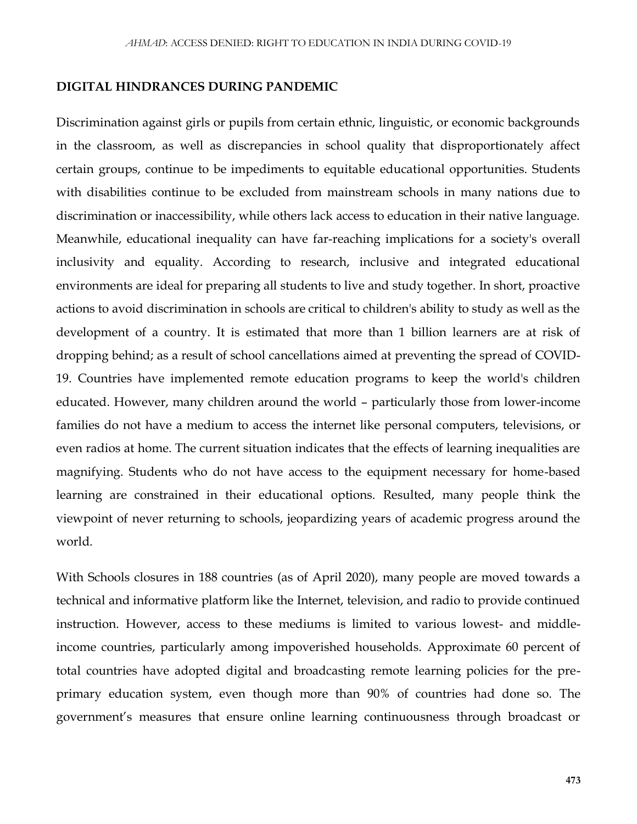#### **DIGITAL HINDRANCES DURING PANDEMIC**

Discrimination against girls or pupils from certain ethnic, linguistic, or economic backgrounds in the classroom, as well as discrepancies in school quality that disproportionately affect certain groups, continue to be impediments to equitable educational opportunities. Students with disabilities continue to be excluded from mainstream schools in many nations due to discrimination or inaccessibility, while others lack access to education in their native language. Meanwhile, educational inequality can have far-reaching implications for a society's overall inclusivity and equality. According to research, inclusive and integrated educational environments are ideal for preparing all students to live and study together. In short, proactive actions to avoid discrimination in schools are critical to children's ability to study as well as the development of a country. It is estimated that more than 1 billion learners are at risk of dropping behind; as a result of school cancellations aimed at preventing the spread of COVID-19. Countries have implemented remote education programs to keep the world's children educated. However, many children around the world – particularly those from lower-income families do not have a medium to access the internet like personal computers, televisions, or even radios at home. The current situation indicates that the effects of learning inequalities are magnifying. Students who do not have access to the equipment necessary for home-based learning are constrained in their educational options. Resulted, many people think the viewpoint of never returning to schools, jeopardizing years of academic progress around the world.

With Schools closures in 188 countries (as of April 2020), many people are moved towards a technical and informative platform like the Internet, television, and radio to provide continued instruction. However, access to these mediums is limited to various lowest- and middleincome countries, particularly among impoverished households. Approximate 60 percent of total countries have adopted digital and broadcasting remote learning policies for the preprimary education system, even though more than 90% of countries had done so. The government's measures that ensure online learning continuousness through broadcast or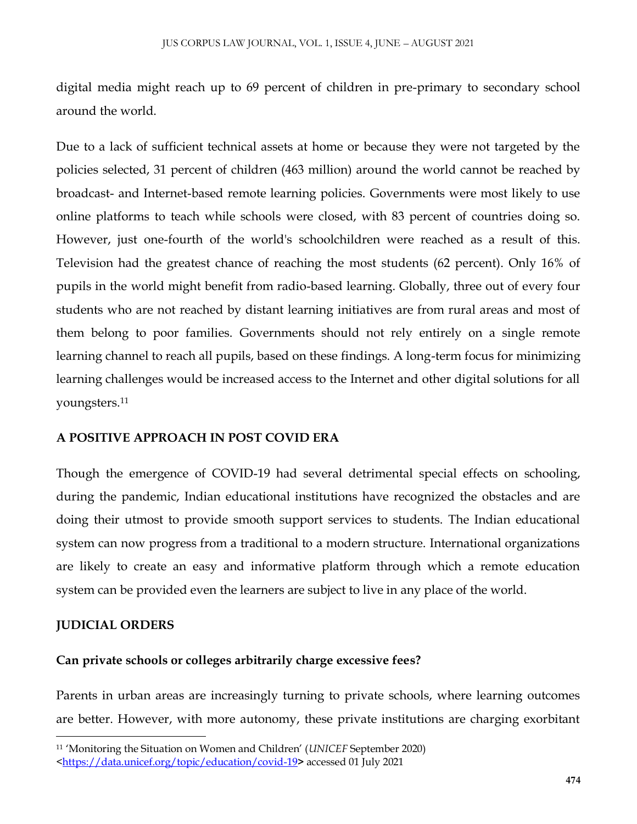digital media might reach up to 69 percent of children in pre-primary to secondary school around the world.

Due to a lack of sufficient technical assets at home or because they were not targeted by the policies selected, 31 percent of children (463 million) around the world cannot be reached by broadcast- and Internet-based remote learning policies. Governments were most likely to use online platforms to teach while schools were closed, with 83 percent of countries doing so. However, just one-fourth of the world's schoolchildren were reached as a result of this. Television had the greatest chance of reaching the most students (62 percent). Only 16% of pupils in the world might benefit from radio-based learning. Globally, three out of every four students who are not reached by distant learning initiatives are from rural areas and most of them belong to poor families. Governments should not rely entirely on a single remote learning channel to reach all pupils, based on these findings. A long-term focus for minimizing learning challenges would be increased access to the Internet and other digital solutions for all youngsters.<sup>11</sup>

### **A POSITIVE APPROACH IN POST COVID ERA**

Though the emergence of COVID-19 had several detrimental special effects on schooling, during the pandemic, Indian educational institutions have recognized the obstacles and are doing their utmost to provide smooth support services to students. The Indian educational system can now progress from a traditional to a modern structure. International organizations are likely to create an easy and informative platform through which a remote education system can be provided even the learners are subject to live in any place of the world.

#### **JUDICIAL ORDERS**

 $\overline{\phantom{a}}$ 

# **Can private schools or colleges arbitrarily charge excessive fees?**

Parents in urban areas are increasingly turning to private schools, where learning outcomes are better. However, with more autonomy, these private institutions are charging exorbitant

<sup>11</sup> 'Monitoring the Situation on Women and Children' (*UNICEF* September 2020)

[<sup>&</sup>lt;https://data.unicef.org/topic/education/covid-19](https://data.unicef.org/topic/education/covid-19)**>** accessed 01 July 2021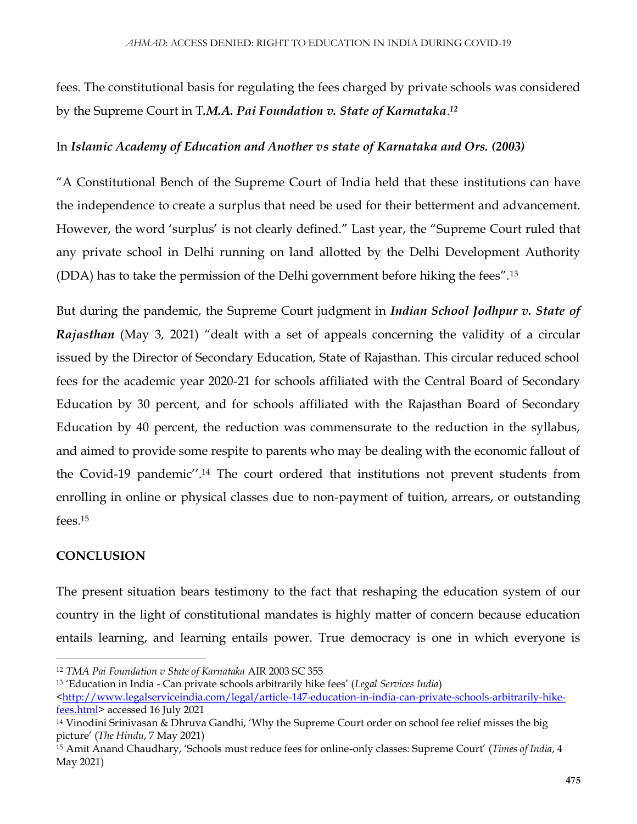fees. The constitutional basis for regulating the fees charged by private schools was considered by the Supreme Court in T*.M.A. Pai Foundation v. State of Karnataka*. *12*

## In *Islamic Academy of Education and Another vs state of Karnataka and Ors. (2003)*

"A Constitutional Bench of the Supreme Court of India held that these institutions can have the independence to create a surplus that need be used for their betterment and advancement. However, the word 'surplus' is not clearly defined." Last year, the "Supreme Court ruled that any private school in Delhi running on land allotted by the Delhi Development Authority (DDA) has to take the permission of the Delhi government before hiking the fees".<sup>13</sup>

But during the pandemic, the Supreme Court judgment in *Indian School Jodhpur v. State of Rajasthan* (May 3, 2021) "dealt with a set of appeals concerning the validity of a circular issued by the Director of Secondary Education, State of Rajasthan. This circular reduced school fees for the academic year 2020-21 for schools affiliated with the Central Board of Secondary Education by 30 percent, and for schools affiliated with the Rajasthan Board of Secondary Education by 40 percent, the reduction was commensurate to the reduction in the syllabus, and aimed to provide some respite to parents who may be dealing with the economic fallout of the Covid-19 pandemic''.<sup>14</sup> The court ordered that institutions not prevent students from enrolling in online or physical classes due to non-payment of tuition, arrears, or outstanding fees.<sup>15</sup>

# **CONCLUSION**

 $\overline{a}$ 

The present situation bears testimony to the fact that reshaping the education system of our country in the light of constitutional mandates is highly matter of concern because education entails learning, and learning entails power. True democracy is one in which everyone is

<sup>13</sup> 'Education in India - Can private schools arbitrarily hike fees' (*Legal Services India*)

<sup>12</sup> *TMA Pai Foundation v State of Karnataka* AIR 2003 SC 355

[<sup>&</sup>lt;http://www.legalserviceindia.com/legal/article-147-education-in-india-can-private-schools-arbitrarily-hike](http://www.legalserviceindia.com/legal/article-147-education-in-india-can-private-schools-arbitrarily-hike-fees.html)[fees.html>](http://www.legalserviceindia.com/legal/article-147-education-in-india-can-private-schools-arbitrarily-hike-fees.html) accessed 16 July 2021

<sup>14</sup> Vinodini Srinivasan & Dhruva Gandhi, 'Why the Supreme Court order on school fee relief misses the big picture' (*The Hindu*, 7 May 2021)

<sup>15</sup> Amit Anand Chaudhary, 'Schools must reduce fees for online-only classes: Supreme Court' (*Times of India*, 4 May 2021)